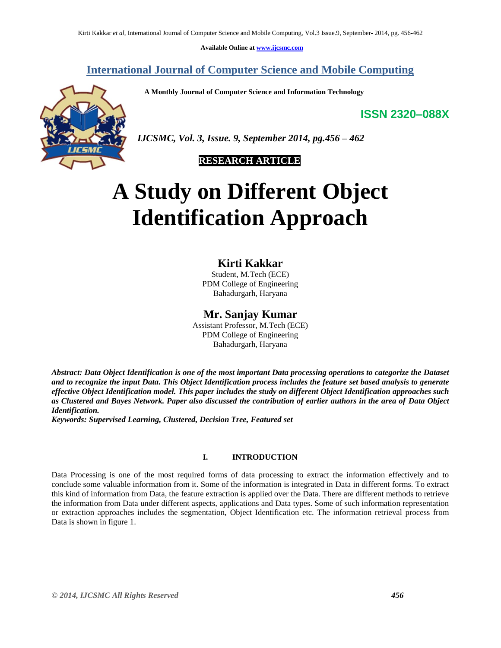**Available Online at [www.ijcsmc.com](http://www.ijcsmc.com/)**

## **International Journal of Computer Science and Mobile Computing**

 **A Monthly Journal of Computer Science and Information Technology**

**ISSN 2320–088X**



*IJCSMC, Vol. 3, Issue. 9, September 2014, pg.456 – 462*

# **RESEARCH ARTICLE**

# **A Study on Different Object Identification Approach**

## **Kirti Kakkar**

Student, M.Tech (ECE) PDM College of Engineering Bahadurgarh, Haryana

## **Mr. Sanjay Kumar**

Assistant Professor, M.Tech (ECE) PDM College of Engineering Bahadurgarh, Haryana

*Abstract: Data Object Identification is one of the most important Data processing operations to categorize the Dataset and to recognize the input Data. This Object Identification process includes the feature set based analysis to generate effective Object Identification model. This paper includes the study on different Object Identification approaches such as Clustered and Bayes Network. Paper also discussed the contribution of earlier authors in the area of Data Object Identification.*

*Keywords: Supervised Learning, Clustered, Decision Tree, Featured set*

## **I. INTRODUCTION**

Data Processing is one of the most required forms of data processing to extract the information effectively and to conclude some valuable information from it. Some of the information is integrated in Data in different forms. To extract this kind of information from Data, the feature extraction is applied over the Data. There are different methods to retrieve the information from Data under different aspects, applications and Data types. Some of such information representation or extraction approaches includes the segmentation, Object Identification etc. The information retrieval process from Data is shown in figure 1.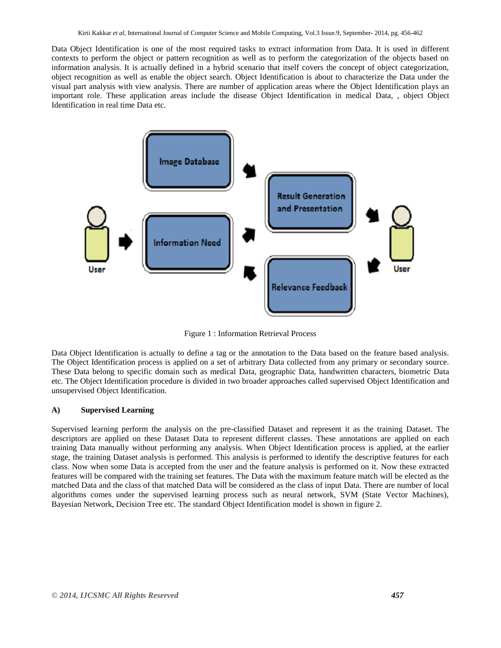Data Object Identification is one of the most required tasks to extract information from Data. It is used in different contexts to perform the object or pattern recognition as well as to perform the categorization of the objects based on information analysis. It is actually defined in a hybrid scenario that itself covers the concept of object categorization, object recognition as well as enable the object search. Object Identification is about to characterize the Data under the visual part analysis with view analysis. There are number of application areas where the Object Identification plays an important role. These application areas include the disease Object Identification in medical Data, , object Object Identification in real time Data etc.



Figure 1 : Information Retrieval Process

Data Object Identification is actually to define a tag or the annotation to the Data based on the feature based analysis. The Object Identification process is applied on a set of arbitrary Data collected from any primary or secondary source. These Data belong to specific domain such as medical Data, geographic Data, handwritten characters, biometric Data etc. The Object Identification procedure is divided in two broader approaches called supervised Object Identification and unsupervised Object Identification.

#### **A) Supervised Learning**

Supervised learning perform the analysis on the pre-classified Dataset and represent it as the training Dataset. The descriptors are applied on these Dataset Data to represent different classes. These annotations are applied on each training Data manually without performing any analysis. When Object Identification process is applied, at the earlier stage, the training Dataset analysis is performed. This analysis is performed to identify the descriptive features for each class. Now when some Data is accepted from the user and the feature analysis is performed on it. Now these extracted features will be compared with the training set features. The Data with the maximum feature match will be elected as the matched Data and the class of that matched Data will be considered as the class of input Data. There are number of local algorithms comes under the supervised learning process such as neural network, SVM (State Vector Machines), Bayesian Network, Decision Tree etc. The standard Object Identification model is shown in figure 2.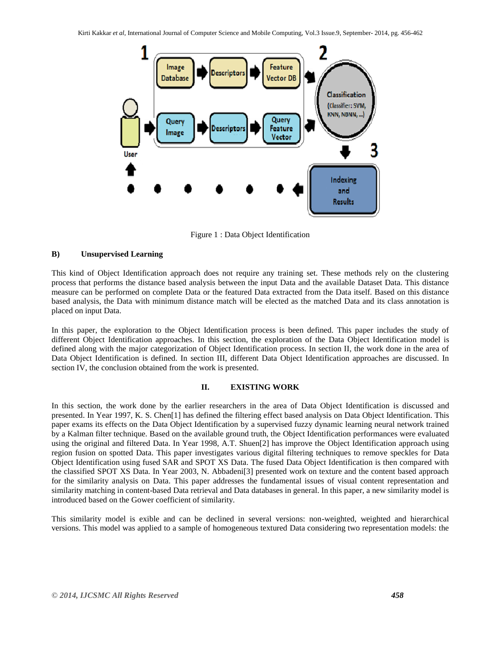

Figure 1 : Data Object Identification

#### **B) Unsupervised Learning**

This kind of Object Identification approach does not require any training set. These methods rely on the clustering process that performs the distance based analysis between the input Data and the available Dataset Data. This distance measure can be performed on complete Data or the featured Data extracted from the Data itself. Based on this distance based analysis, the Data with minimum distance match will be elected as the matched Data and its class annotation is placed on input Data.

In this paper, the exploration to the Object Identification process is been defined. This paper includes the study of different Object Identification approaches. In this section, the exploration of the Data Object Identification model is defined along with the major categorization of Object Identification process. In section II, the work done in the area of Data Object Identification is defined. In section III, different Data Object Identification approaches are discussed. In section IV, the conclusion obtained from the work is presented.

## **II. EXISTING WORK**

In this section, the work done by the earlier researchers in the area of Data Object Identification is discussed and presented. In Year 1997, K. S. Chen[1] has defined the filtering effect based analysis on Data Object Identification. This paper exams its effects on the Data Object Identification by a supervised fuzzy dynamic learning neural network trained by a Kalman filter technique. Based on the available ground truth, the Object Identification performances were evaluated using the original and filtered Data. In Year 1998, A.T. Shuen[2] has improve the Object Identification approach using region fusion on spotted Data. This paper investigates various digital filtering techniques to remove speckles for Data Object Identification using fused SAR and SPOT XS Data. The fused Data Object Identification is then compared with the classified SPOT XS Data. In Year 2003, N. Abbadeni[3] presented work on texture and the content based approach for the similarity analysis on Data. This paper addresses the fundamental issues of visual content representation and similarity matching in content-based Data retrieval and Data databases in general. In this paper, a new similarity model is introduced based on the Gower coefficient of similarity.

This similarity model is exible and can be declined in several versions: non-weighted, weighted and hierarchical versions. This model was applied to a sample of homogeneous textured Data considering two representation models: the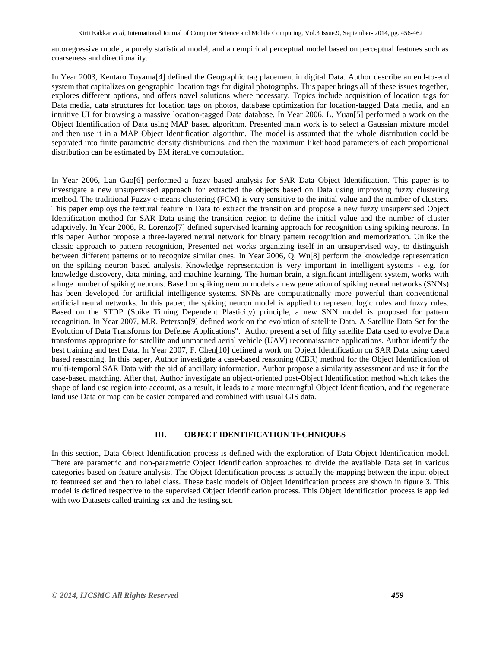autoregressive model, a purely statistical model, and an empirical perceptual model based on perceptual features such as coarseness and directionality.

In Year 2003, Kentaro Toyama[4] defined the Geographic tag placement in digital Data. Author describe an end-to-end system that capitalizes on geographic location tags for digital photographs. This paper brings all of these issues together, explores different options, and offers novel solutions where necessary. Topics include acquisition of location tags for Data media, data structures for location tags on photos, database optimization for location-tagged Data media, and an intuitive UI for browsing a massive location-tagged Data database. In Year 2006, L. Yuan[5] performed a work on the Object Identification of Data using MAP based algorithm. Presented main work is to select a Gaussian mixture model and then use it in a MAP Object Identification algorithm. The model is assumed that the whole distribution could be separated into finite parametric density distributions, and then the maximum likelihood parameters of each proportional distribution can be estimated by EM iterative computation.

In Year 2006, Lan Gao[6] performed a fuzzy based analysis for SAR Data Object Identification. This paper is to investigate a new unsupervised approach for extracted the objects based on Data using improving fuzzy clustering method. The traditional Fuzzy c-means clustering (FCM) is very sensitive to the initial value and the number of clusters. This paper employs the textural feature in Data to extract the transition and propose a new fuzzy unsupervised Object Identification method for SAR Data using the transition region to define the initial value and the number of cluster adaptively. In Year 2006, R. Lorenzo[7] defined supervised learning approach for recognition using spiking neurons. In this paper Author propose a three-layered neural network for binary pattern recognition and memorization. Unlike the classic approach to pattern recognition, Presented net works organizing itself in an unsupervised way, to distinguish between different patterns or to recognize similar ones. In Year 2006, Q. Wu[8] perform the knowledge representation on the spiking neuron based analysis. Knowledge representation is very important in intelligent systems - e.g. for knowledge discovery, data mining, and machine learning. The human brain, a significant intelligent system, works with a huge number of spiking neurons. Based on spiking neuron models a new generation of spiking neural networks (SNNs) has been developed for artificial intelligence systems. SNNs are computationally more powerful than conventional artificial neural networks. In this paper, the spiking neuron model is applied to represent logic rules and fuzzy rules. Based on the STDP (Spike Timing Dependent Plasticity) principle, a new SNN model is proposed for pattern recognition. In Year 2007, M.R. Peterson[9] defined work on the evolution of satellite Data. A Satellite Data Set for the Evolution of Data Transforms for Defense Applications". Author present a set of fifty satellite Data used to evolve Data transforms appropriate for satellite and unmanned aerial vehicle (UAV) reconnaissance applications. Author identify the best training and test Data. In Year 2007, F. Chen[10] defined a work on Object Identification on SAR Data using cased based reasoning. In this paper, Author investigate a case-based reasoning (CBR) method for the Object Identification of multi-temporal SAR Data with the aid of ancillary information. Author propose a similarity assessment and use it for the case-based matching. After that, Author investigate an object-oriented post-Object Identification method which takes the shape of land use region into account, as a result, it leads to a more meaningful Object Identification, and the regenerate land use Data or map can be easier compared and combined with usual GIS data.

#### **III. OBJECT IDENTIFICATION TECHNIQUES**

In this section, Data Object Identification process is defined with the exploration of Data Object Identification model. There are parametric and non-parametric Object Identification approaches to divide the available Data set in various categories based on feature analysis. The Object Identification process is actually the mapping between the input object to featureed set and then to label class. These basic models of Object Identification process are shown in figure 3. This model is defined respective to the supervised Object Identification process. This Object Identification process is applied with two Datasets called training set and the testing set.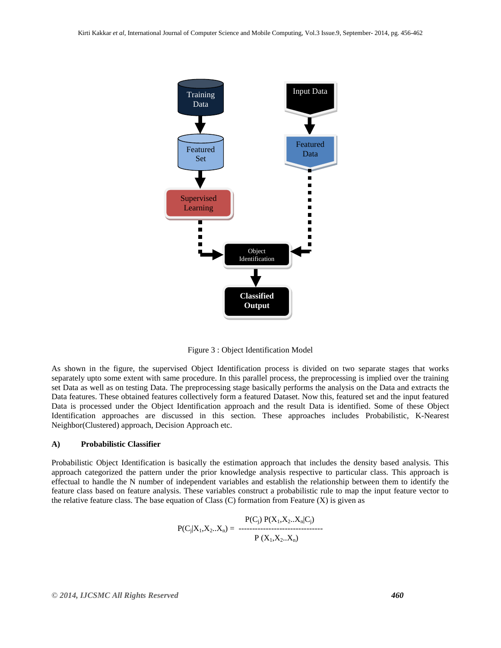

Figure 3 : Object Identification Model

As shown in the figure, the supervised Object Identification process is divided on two separate stages that works separately upto some extent with same procedure. In this parallel process, the preprocessing is implied over the training set Data as well as on testing Data. The preprocessing stage basically performs the analysis on the Data and extracts the Data features. These obtained features collectively form a featured Dataset. Now this, featured set and the input featured Data is processed under the Object Identification approach and the result Data is identified. Some of these Object Identification approaches are discussed in this section. These approaches includes Probabilistic, K-Nearest Neighbor(Clustered) approach, Decision Approach etc.

#### **A) Probabilistic Classifier**

Probabilistic Object Identification is basically the estimation approach that includes the density based analysis. This approach categorized the pattern under the prior knowledge analysis respective to particular class. This approach is effectual to handle the N number of independent variables and establish the relationship between them to identify the feature class based on feature analysis. These variables construct a probabilistic rule to map the input feature vector to the relative feature class. The base equation of Class (C) formation from Feature  $(X)$  is given as

$$
P(C_j|X_1, X_2..X_n) = \begin{array}{cc} P(C_j) \ P(X_1, X_2..X_n|C_j) \\ - \cdots \\ P(X_1, X_2..X_n) \end{array}
$$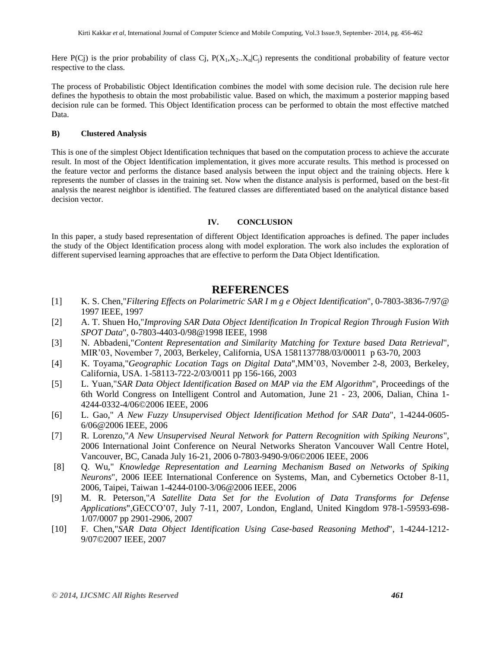Here P(Cj) is the prior probability of class Cj,  $P(X_1, X_2, X_n|C_i)$  represents the conditional probability of feature vector respective to the class.

The process of Probabilistic Object Identification combines the model with some decision rule. The decision rule here defines the hypothesis to obtain the most probabilistic value. Based on which, the maximum a posterior mapping based decision rule can be formed. This Object Identification process can be performed to obtain the most effective matched Data.

#### **B) Clustered Analysis**

This is one of the simplest Object Identification techniques that based on the computation process to achieve the accurate result. In most of the Object Identification implementation, it gives more accurate results. This method is processed on the feature vector and performs the distance based analysis between the input object and the training objects. Here k represents the number of classes in the training set. Now when the distance analysis is performed, based on the best-fit analysis the nearest neighbor is identified. The featured classes are differentiated based on the analytical distance based decision vector.

#### **IV. CONCLUSION**

In this paper, a study based representation of different Object Identification approaches is defined. The paper includes the study of the Object Identification process along with model exploration. The work also includes the exploration of different supervised learning approaches that are effective to perform the Data Object Identification.

## **REFERENCES**

- [1] K. S. Chen,"*Filtering Effects on Polarimetric SAR I m g e Object Identification*", 0-7803-3836-7/97@ 1997 IEEE, 1997
- [2] A. T. Shuen Ho,"*Improving SAR Data Object Identification In Tropical Region Through Fusion With SPOT Data*", 0-7803-4403-0/98@1998 IEEE, 1998
- [3] N. Abbadeni,"*Content Representation and Similarity Matching for Texture based Data Retrieval*", MIR'03, November 7, 2003, Berkeley, California, USA 1581137788/03/00011 p 63-70, 2003
- [4] K. Toyama,"*Geographic Location Tags on Digital Data*",MM'03, November 2-8, 2003, Berkeley, California, USA. 1-58113-722-2/03/0011 pp 156-166, 2003
- [5] L. Yuan,"*SAR Data Object Identification Based on MAP via the EM Algorithm*", Proceedings of the 6th World Congress on Intelligent Control and Automation, June 21 - 23, 2006, Dalian, China 1- 4244-0332-4/06©2006 IEEE, 2006
- [6] L. Gao," *A New Fuzzy Unsupervised Object Identification Method for SAR Data*", 1-4244-0605- 6/06@2006 IEEE, 2006
- [7] R. Lorenzo,"*A New Unsupervised Neural Network for Pattern Recognition with Spiking Neurons*", 2006 International Joint Conference on Neural Networks Sheraton Vancouver Wall Centre Hotel, Vancouver, BC, Canada July 16-21, 2006 0-7803-9490-9/06©2006 IEEE, 2006
- [8] Q. Wu," *Knowledge Representation and Learning Mechanism Based on Networks of Spiking Neurons*", 2006 IEEE International Conference on Systems, Man, and Cybernetics October 8-11, 2006, Taipei, Taiwan 1-4244-0100-3/06@2006 IEEE, 2006
- [9] M. R. Peterson,"*A Satellite Data Set for the Evolution of Data Transforms for Defense Applications*",GECCO'07, July 7-11, 2007, London, England, United Kingdom 978-1-59593-698- 1/07/0007 pp 2901-2906, 2007
- [10] F. Chen,"*SAR Data Object Identification Using Case-based Reasoning Method*", 1-4244-1212- 9/07©2007 IEEE, 2007